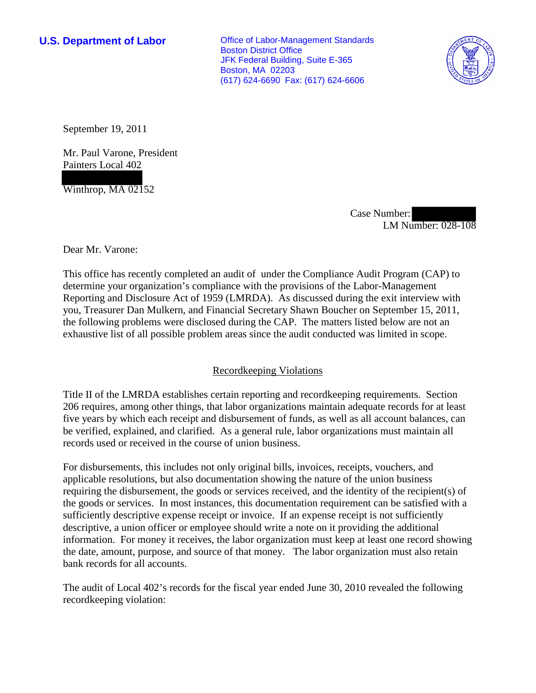**U.S. Department of Labor Conservative Conservative Conservative Conservative Conservative Conservative Conservative Conservative Conservative Conservative Conservative Conservative Conservative Conservative Conservative** Boston District Office JFK Federal Building, Suite E-365 Boston, MA 02203 (617) 624-6690 Fax: (617) 624-6606



September 19, 2011

Mr. Paul Varone, President Painters Local 402

Winthrop, MA 02152

Case Number: LM Number: 028-108

Dear Mr. Varone:

This office has recently completed an audit of under the Compliance Audit Program (CAP) to determine your organization's compliance with the provisions of the Labor-Management Reporting and Disclosure Act of 1959 (LMRDA). As discussed during the exit interview with you, Treasurer Dan Mulkern, and Financial Secretary Shawn Boucher on September 15, 2011, the following problems were disclosed during the CAP. The matters listed below are not an exhaustive list of all possible problem areas since the audit conducted was limited in scope.

# Recordkeeping Violations

Title II of the LMRDA establishes certain reporting and recordkeeping requirements. Section 206 requires, among other things, that labor organizations maintain adequate records for at least five years by which each receipt and disbursement of funds, as well as all account balances, can be verified, explained, and clarified. As a general rule, labor organizations must maintain all records used or received in the course of union business.

For disbursements, this includes not only original bills, invoices, receipts, vouchers, and applicable resolutions, but also documentation showing the nature of the union business requiring the disbursement, the goods or services received, and the identity of the recipient(s) of the goods or services. In most instances, this documentation requirement can be satisfied with a sufficiently descriptive expense receipt or invoice. If an expense receipt is not sufficiently descriptive, a union officer or employee should write a note on it providing the additional information. For money it receives, the labor organization must keep at least one record showing the date, amount, purpose, and source of that money. The labor organization must also retain bank records for all accounts.

The audit of Local 402's records for the fiscal year ended June 30, 2010 revealed the following recordkeeping violation: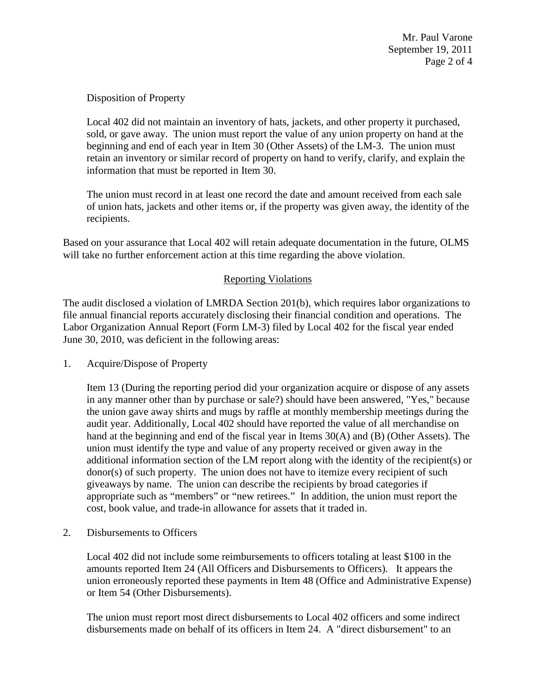Disposition of Property

Local 402 did not maintain an inventory of hats, jackets, and other property it purchased, sold, or gave away. The union must report the value of any union property on hand at the beginning and end of each year in Item 30 (Other Assets) of the LM-3. The union must retain an inventory or similar record of property on hand to verify, clarify, and explain the information that must be reported in Item 30.

The union must record in at least one record the date and amount received from each sale of union hats, jackets and other items or, if the property was given away, the identity of the recipients.

Based on your assurance that Local 402 will retain adequate documentation in the future, OLMS will take no further enforcement action at this time regarding the above violation.

# Reporting Violations

The audit disclosed a violation of LMRDA Section 201(b), which requires labor organizations to file annual financial reports accurately disclosing their financial condition and operations. The Labor Organization Annual Report (Form LM-3) filed by Local 402 for the fiscal year ended June 30, 2010, was deficient in the following areas:

1. Acquire/Dispose of Property

Item 13 (During the reporting period did your organization acquire or dispose of any assets in any manner other than by purchase or sale?) should have been answered, "Yes," because the union gave away shirts and mugs by raffle at monthly membership meetings during the audit year. Additionally, Local 402 should have reported the value of all merchandise on hand at the beginning and end of the fiscal year in Items 30(A) and (B) (Other Assets). The union must identify the type and value of any property received or given away in the additional information section of the LM report along with the identity of the recipient(s) or donor(s) of such property. The union does not have to itemize every recipient of such giveaways by name. The union can describe the recipients by broad categories if appropriate such as "members" or "new retirees." In addition, the union must report the cost, book value, and trade-in allowance for assets that it traded in.

2. Disbursements to Officers

Local 402 did not include some reimbursements to officers totaling at least \$100 in the amounts reported Item 24 (All Officers and Disbursements to Officers). It appears the union erroneously reported these payments in Item 48 (Office and Administrative Expense) or Item 54 (Other Disbursements).

The union must report most direct disbursements to Local 402 officers and some indirect disbursements made on behalf of its officers in Item 24. A "direct disbursement" to an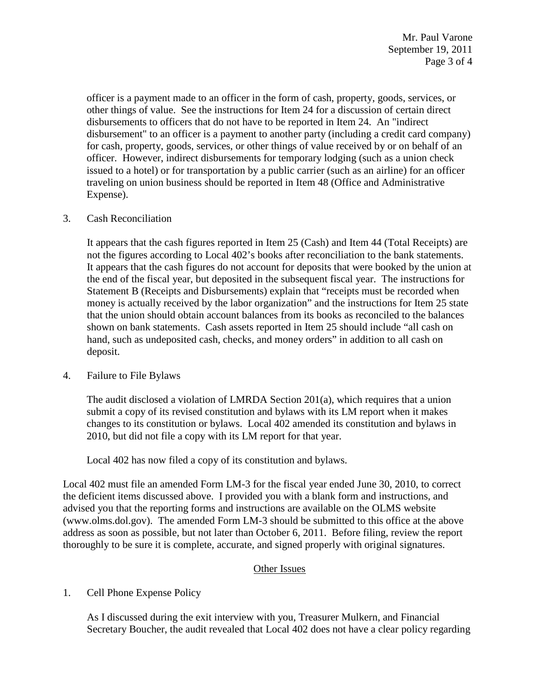officer is a payment made to an officer in the form of cash, property, goods, services, or other things of value. See the instructions for Item 24 for a discussion of certain direct disbursements to officers that do not have to be reported in Item 24. An "indirect disbursement" to an officer is a payment to another party (including a credit card company) for cash, property, goods, services, or other things of value received by or on behalf of an officer. However, indirect disbursements for temporary lodging (such as a union check issued to a hotel) or for transportation by a public carrier (such as an airline) for an officer traveling on union business should be reported in Item 48 (Office and Administrative Expense).

## 3. Cash Reconciliation

It appears that the cash figures reported in Item 25 (Cash) and Item 44 (Total Receipts) are not the figures according to Local 402's books after reconciliation to the bank statements. It appears that the cash figures do not account for deposits that were booked by the union at the end of the fiscal year, but deposited in the subsequent fiscal year. The instructions for Statement B (Receipts and Disbursements) explain that "receipts must be recorded when money is actually received by the labor organization" and the instructions for Item 25 state that the union should obtain account balances from its books as reconciled to the balances shown on bank statements. Cash assets reported in Item 25 should include "all cash on hand, such as undeposited cash, checks, and money orders" in addition to all cash on deposit.

### 4. Failure to File Bylaws

The audit disclosed a violation of LMRDA Section 201(a), which requires that a union submit a copy of its revised constitution and bylaws with its LM report when it makes changes to its constitution or bylaws. Local 402 amended its constitution and bylaws in 2010, but did not file a copy with its LM report for that year.

Local 402 has now filed a copy of its constitution and bylaws.

Local 402 must file an amended Form LM-3 for the fiscal year ended June 30, 2010, to correct the deficient items discussed above. I provided you with a blank form and instructions, and advised you that the reporting forms and instructions are available on the OLMS website (www.olms.dol.gov). The amended Form LM-3 should be submitted to this office at the above address as soon as possible, but not later than October 6, 2011. Before filing, review the report thoroughly to be sure it is complete, accurate, and signed properly with original signatures.

### Other Issues

1. Cell Phone Expense Policy

As I discussed during the exit interview with you, Treasurer Mulkern, and Financial Secretary Boucher, the audit revealed that Local 402 does not have a clear policy regarding